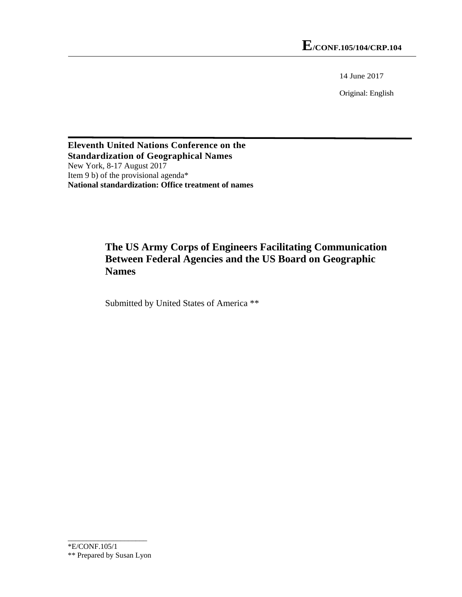14 June 2017

Original: English

**Eleventh United Nations Conference on the Standardization of Geographical Names**  New York, 8-17 August 2017 Item 9 b) of the provisional agenda\* **National standardization: Office treatment of names**

## **The US Army Corps of Engineers Facilitating Communication Between Federal Agencies and the US Board on Geographic Names**

Submitted by United States of America \*\*

\_\_\_\_\_\_\_\_\_\_\_\_\_\_\_\_\_\_\_\_\_ \*E/CONF.105/1 \*\* Prepared by Susan Lyon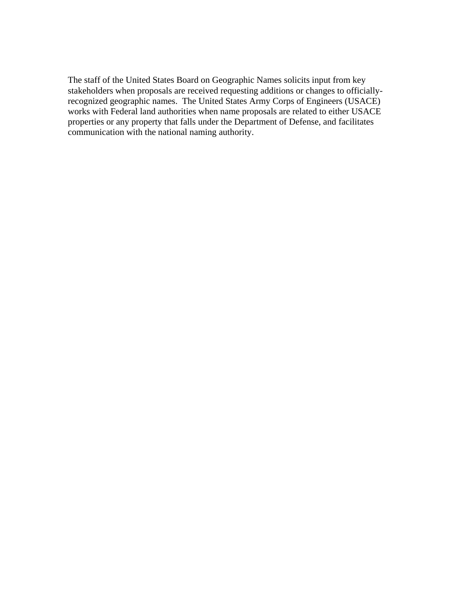The staff of the United States Board on Geographic Names solicits input from key stakeholders when proposals are received requesting additions or changes to officiallyrecognized geographic names. The United States Army Corps of Engineers (USACE) works with Federal land authorities when name proposals are related to either USACE properties or any property that falls under the Department of Defense, and facilitates communication with the national naming authority.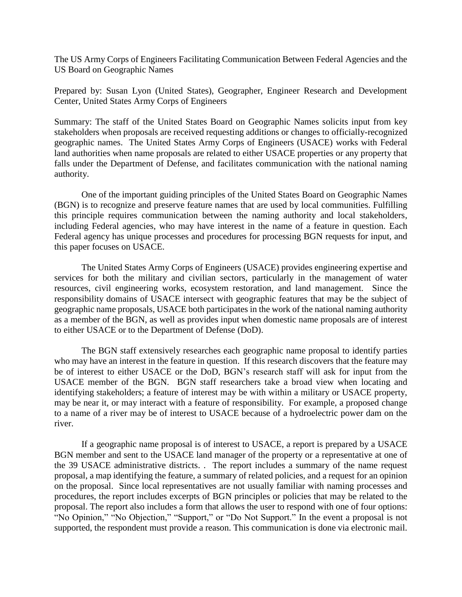The US Army Corps of Engineers Facilitating Communication Between Federal Agencies and the US Board on Geographic Names

Prepared by: Susan Lyon (United States), Geographer, Engineer Research and Development Center, United States Army Corps of Engineers

Summary: The staff of the United States Board on Geographic Names solicits input from key stakeholders when proposals are received requesting additions or changes to officially-recognized geographic names. The United States Army Corps of Engineers (USACE) works with Federal land authorities when name proposals are related to either USACE properties or any property that falls under the Department of Defense, and facilitates communication with the national naming authority.

One of the important guiding principles of the United States Board on Geographic Names (BGN) is to recognize and preserve feature names that are used by local communities. Fulfilling this principle requires communication between the naming authority and local stakeholders, including Federal agencies, who may have interest in the name of a feature in question. Each Federal agency has unique processes and procedures for processing BGN requests for input, and this paper focuses on USACE.

The United States Army Corps of Engineers (USACE) provides engineering expertise and services for both the military and civilian sectors, particularly in the management of water resources, civil engineering works, ecosystem restoration, and land management. Since the responsibility domains of USACE intersect with geographic features that may be the subject of geographic name proposals, USACE both participates in the work of the national naming authority as a member of the BGN, as well as provides input when domestic name proposals are of interest to either USACE or to the Department of Defense (DoD).

The BGN staff extensively researches each geographic name proposal to identify parties who may have an interest in the feature in question. If this research discovers that the feature may be of interest to either USACE or the DoD, BGN's research staff will ask for input from the USACE member of the BGN. BGN staff researchers take a broad view when locating and identifying stakeholders; a feature of interest may be with within a military or USACE property, may be near it, or may interact with a feature of responsibility. For example, a proposed change to a name of a river may be of interest to USACE because of a hydroelectric power dam on the river.

If a geographic name proposal is of interest to USACE, a report is prepared by a USACE BGN member and sent to the USACE land manager of the property or a representative at one of the 39 USACE administrative districts. . The report includes a summary of the name request proposal, a map identifying the feature, a summary of related policies, and a request for an opinion on the proposal. Since local representatives are not usually familiar with naming processes and procedures, the report includes excerpts of BGN principles or policies that may be related to the proposal. The report also includes a form that allows the user to respond with one of four options: "No Opinion," "No Objection," "Support," or "Do Not Support." In the event a proposal is not supported, the respondent must provide a reason. This communication is done via electronic mail.